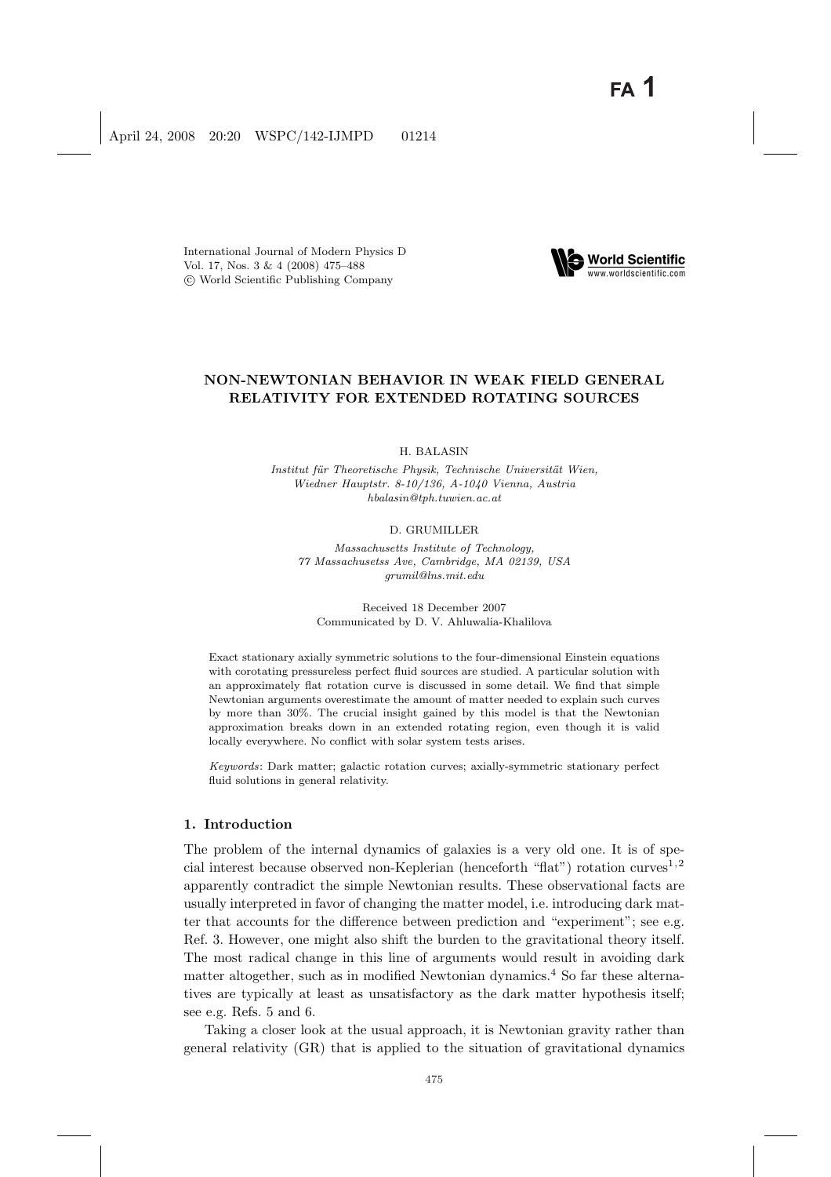International Journal of Modern Physics D Vol. 17, Nos. 3 & 4 (2008) 475–488 °c World Scientific Publishing Company



# NON-NEWTONIAN BEHAVIOR IN WEAK FIELD GENERAL RELATIVITY FOR EXTENDED ROTATING SOURCES

H. BALASIN

Institut für Theoretische Physik, Technische Universität Wien, Wiedner Hauptstr. 8-10/136, A-1040 Vienna, Austria hbalasin@tph.tuwien.ac.at

#### D. GRUMILLER

Massachusetts Institute of Technology, 77 Massachusetss Ave, Cambridge, MA 02139, USA grumil@lns.mit.edu

Received 18 December 2007 Communicated by D. V. Ahluwalia-Khalilova

Exact stationary axially symmetric solutions to the four-dimensional Einstein equations with corotating pressureless perfect fluid sources are studied. A particular solution with an approximately flat rotation curve is discussed in some detail. We find that simple Newtonian arguments overestimate the amount of matter needed to explain such curves by more than 30%. The crucial insight gained by this model is that the Newtonian approximation breaks down in an extended rotating region, even though it is valid locally everywhere. No conflict with solar system tests arises.

Keywords: Dark matter; galactic rotation curves; axially-symmetric stationary perfect fluid solutions in general relativity.

### 1. Introduction

The problem of the internal dynamics of galaxies is a very old one. It is of special interest because observed non-Keplerian (henceforth "flat") rotation curves<sup>1,2</sup> apparently contradict the simple Newtonian results. These observational facts are usually interpreted in favor of changing the matter model, i.e. introducing dark matter that accounts for the difference between prediction and "experiment"; see e.g. Ref. 3. However, one might also shift the burden to the gravitational theory itself. The most radical change in this line of arguments would result in avoiding dark matter altogether, such as in modified Newtonian dynamics.<sup>4</sup> So far these alternatives are typically at least as unsatisfactory as the dark matter hypothesis itself; see e.g. Refs. 5 and 6.

Taking a closer look at the usual approach, it is Newtonian gravity rather than general relativity (GR) that is applied to the situation of gravitational dynamics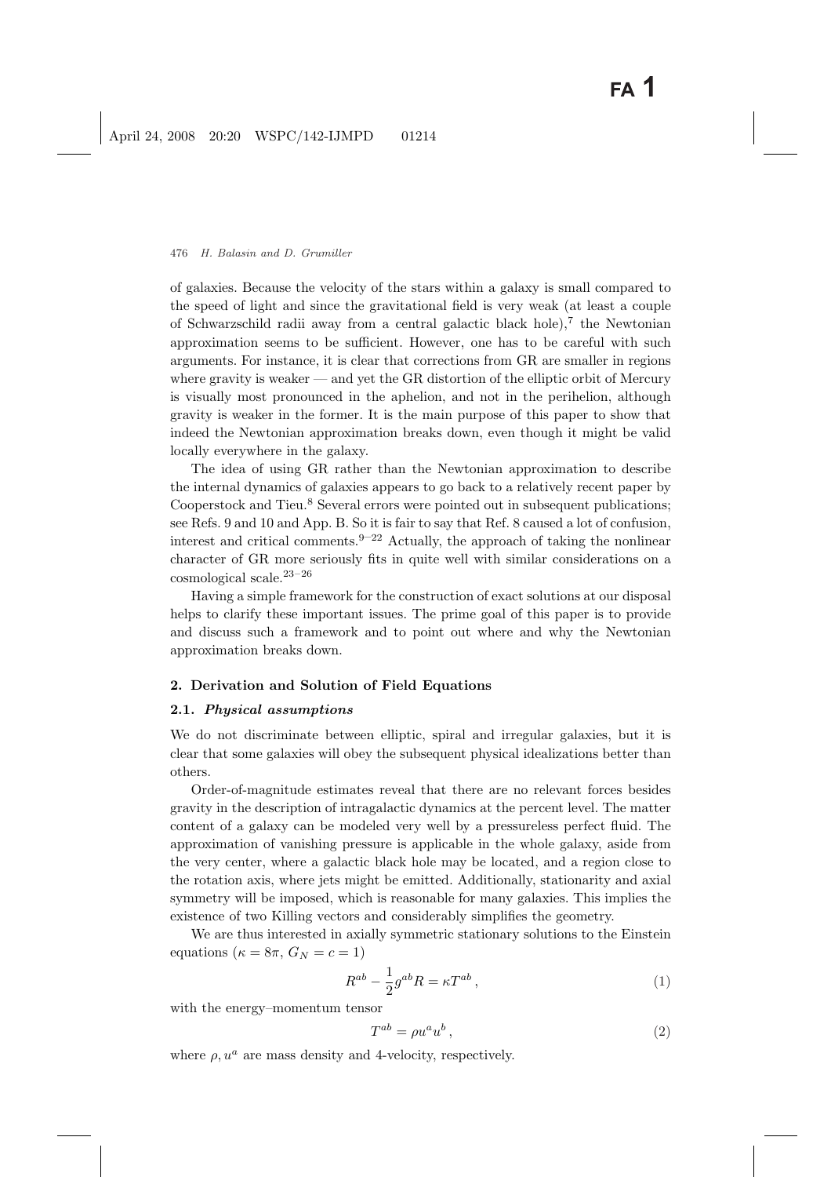of galaxies. Because the velocity of the stars within a galaxy is small compared to the speed of light and since the gravitational field is very weak (at least a couple of Schwarzschild radii away from a central galactic black hole),<sup>7</sup> the Newtonian approximation seems to be sufficient. However, one has to be careful with such arguments. For instance, it is clear that corrections from GR are smaller in regions where gravity is weaker — and yet the GR distortion of the elliptic orbit of Mercury is visually most pronounced in the aphelion, and not in the perihelion, although gravity is weaker in the former. It is the main purpose of this paper to show that indeed the Newtonian approximation breaks down, even though it might be valid locally everywhere in the galaxy.

The idea of using GR rather than the Newtonian approximation to describe the internal dynamics of galaxies appears to go back to a relatively recent paper by Cooperstock and Tieu.<sup>8</sup> Several errors were pointed out in subsequent publications; see Refs. 9 and 10 and App. B. So it is fair to say that Ref. 8 caused a lot of confusion, interest and critical comments.<sup>9–22</sup> Actually, the approach of taking the nonlinear character of GR more seriously fits in quite well with similar considerations on a  $\cos$ mological scale.<sup>23–26</sup>

Having a simple framework for the construction of exact solutions at our disposal helps to clarify these important issues. The prime goal of this paper is to provide and discuss such a framework and to point out where and why the Newtonian approximation breaks down.

# 2. Derivation and Solution of Field Equations

### 2.1. Physical assumptions

We do not discriminate between elliptic, spiral and irregular galaxies, but it is clear that some galaxies will obey the subsequent physical idealizations better than others.

Order-of-magnitude estimates reveal that there are no relevant forces besides gravity in the description of intragalactic dynamics at the percent level. The matter content of a galaxy can be modeled very well by a pressureless perfect fluid. The approximation of vanishing pressure is applicable in the whole galaxy, aside from the very center, where a galactic black hole may be located, and a region close to the rotation axis, where jets might be emitted. Additionally, stationarity and axial symmetry will be imposed, which is reasonable for many galaxies. This implies the existence of two Killing vectors and considerably simplifies the geometry.

We are thus interested in axially symmetric stationary solutions to the Einstein equations ( $\kappa = 8\pi$ ,  $G_N = c = 1$ )

$$
R^{ab} - \frac{1}{2}g^{ab}R = \kappa T^{ab} \,,\tag{1}
$$

with the energy–momentum tensor

$$
T^{ab} = \rho u^a u^b \,,\tag{2}
$$

where  $\rho$ ,  $u^a$  are mass density and 4-velocity, respectively.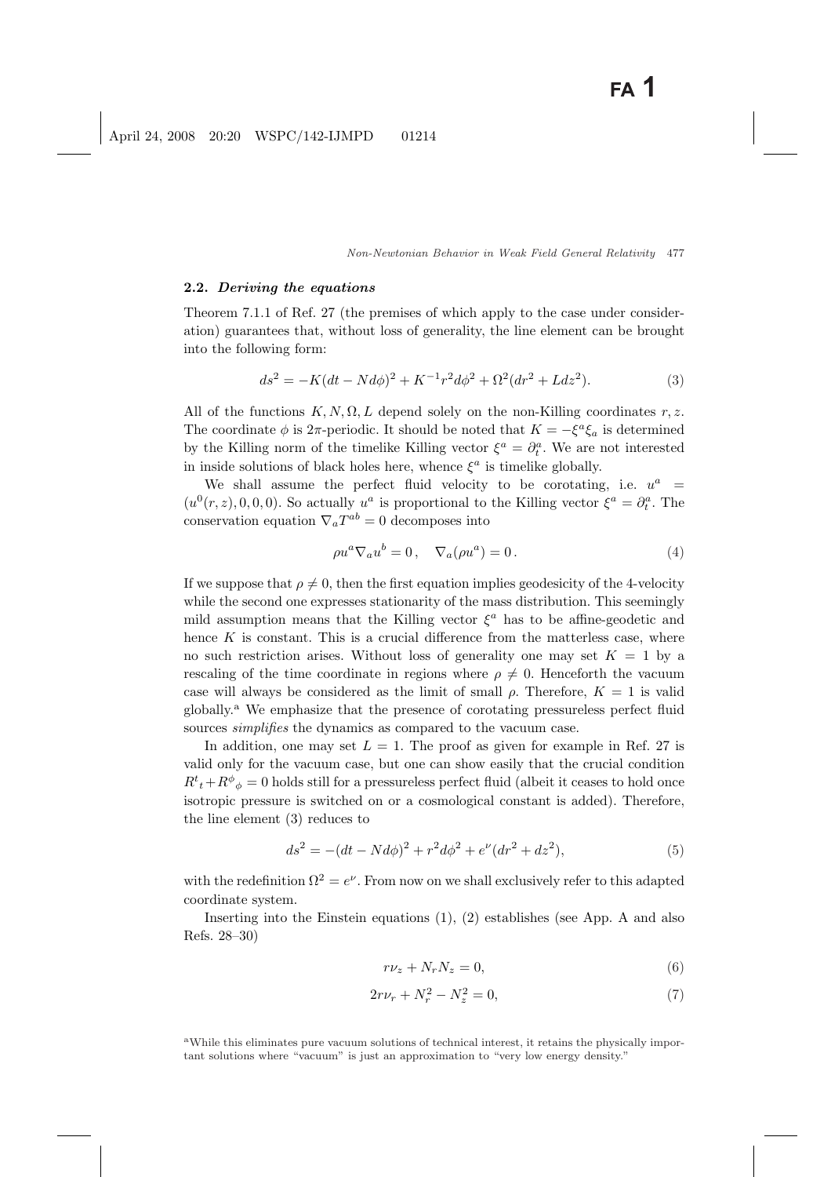#### 2.2. Deriving the equations

Theorem 7.1.1 of Ref. 27 (the premises of which apply to the case under consideration) guarantees that, without loss of generality, the line element can be brought into the following form:

$$
ds^{2} = -K(dt - N d\phi)^{2} + K^{-1}r^{2}d\phi^{2} + \Omega^{2}(dr^{2} + Ldz^{2}).
$$
\n(3)

All of the functions  $K, N, \Omega, L$  depend solely on the non-Killing coordinates r, z. The coordinate  $\phi$  is 2 $\pi$ -periodic. It should be noted that  $K = -\xi^a \xi_a$  is determined by the Killing norm of the timelike Killing vector  $\xi^a = \partial_t^a$ . We are not interested in inside solutions of black holes here, whence  $\xi^a$  is timelike globally.

We shall assume the perfect fluid velocity to be corotating, i.e.  $u^a$  =  $(u^{0}(r, z), 0, 0, 0)$ . So actually  $u^{a}$  is proportional to the Killing vector  $\xi^{a} = \partial_{t}^{a}$ . The conservation equation  $\nabla_a T^{ab} = 0$  decomposes into

$$
\rho u^a \nabla_a u^b = 0 \,, \quad \nabla_a(\rho u^a) = 0 \,. \tag{4}
$$

If we suppose that  $\rho \neq 0$ , then the first equation implies geodesicity of the 4-velocity while the second one expresses stationarity of the mass distribution. This seemingly mild assumption means that the Killing vector  $\xi^a$  has to be affine-geodetic and hence  $K$  is constant. This is a crucial difference from the matterless case, where no such restriction arises. Without loss of generality one may set  $K = 1$  by a rescaling of the time coordinate in regions where  $\rho \neq 0$ . Henceforth the vacuum case will always be considered as the limit of small  $\rho$ . Therefore,  $K = 1$  is valid globally.<sup>a</sup> We emphasize that the presence of corotating pressureless perfect fluid sources *simplifies* the dynamics as compared to the vacuum case.

In addition, one may set  $L = 1$ . The proof as given for example in Ref. 27 is valid only for the vacuum case, but one can show easily that the crucial condition  $R^t{}_t + R^{\phi}{}_{\phi} = 0$  holds still for a pressureless perfect fluid (albeit it ceases to hold once isotropic pressure is switched on or a cosmological constant is added). Therefore, the line element (3) reduces to

$$
ds^{2} = -(dt - N d\phi)^{2} + r^{2} d\phi^{2} + e^{\nu} (dr^{2} + dz^{2}),
$$
\n(5)

with the redefinition  $\Omega^2 = e^{\nu}$ . From now on we shall exclusively refer to this adapted coordinate system.

Inserting into the Einstein equations (1), (2) establishes (see App. A and also Refs. 28–30)

$$
r\nu_z + N_r N_z = 0,\t\t(6)
$$

$$
2r\nu_r + N_r^2 - N_z^2 = 0,\t\t(7)
$$

<sup>a</sup>While this eliminates pure vacuum solutions of technical interest, it retains the physically important solutions where "vacuum" is just an approximation to "very low energy density."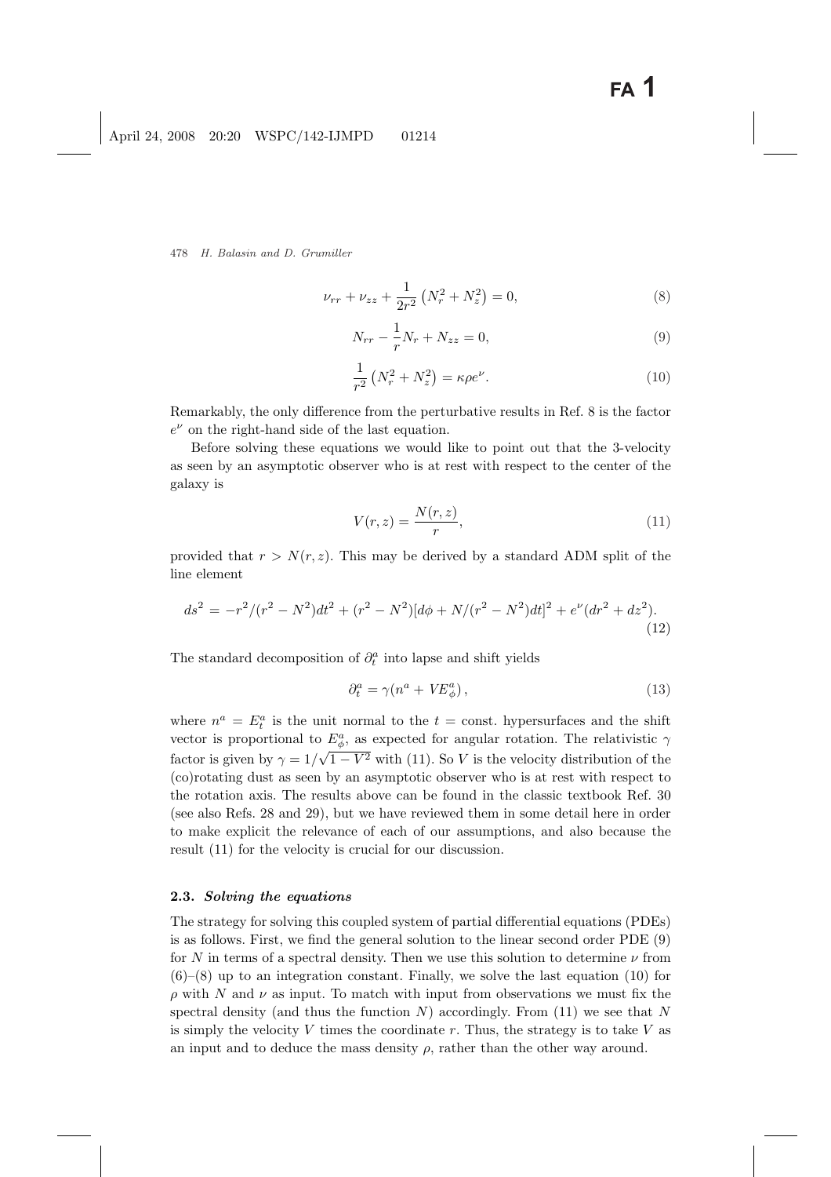$$
\nu_{rr} + \nu_{zz} + \frac{1}{2r^2} \left( N_r^2 + N_z^2 \right) = 0,\tag{8}
$$

$$
N_{rr} - \frac{1}{r} N_r + N_{zz} = 0,
$$
\n(9)

$$
\frac{1}{r^2} \left( N_r^2 + N_z^2 \right) = \kappa \rho e^{\nu}.
$$
\n(10)

Remarkably, the only difference from the perturbative results in Ref. 8 is the factor  $e^{\nu}$  on the right-hand side of the last equation.

Before solving these equations we would like to point out that the 3-velocity as seen by an asymptotic observer who is at rest with respect to the center of the galaxy is

$$
V(r,z) = \frac{N(r,z)}{r},\tag{11}
$$

provided that  $r > N(r, z)$ . This may be derived by a standard ADM split of the line element

$$
ds^{2} = -r^{2}/(r^{2} - N^{2})dt^{2} + (r^{2} - N^{2})[d\phi + N/(r^{2} - N^{2})dt]^{2} + e^{\nu}(dr^{2} + dz^{2}).
$$
\n(12)

The standard decomposition of  $\partial_t^a$  into lapse and shift yields

$$
\partial_t^a = \gamma (n^a + VE^a_\phi),\tag{13}
$$

where  $n^a = E_t^a$  is the unit normal to the  $t = \text{const.}$  hypersurfaces and the shift vector is proportional to  $E^a_\phi$ , as expected for angular rotation. The relativistic  $\gamma$ factor is given by  $\gamma = 1/\sqrt{1 - V^2}$  with (11). So V is the velocity distribution of the (co)rotating dust as seen by an asymptotic observer who is at rest with respect to the rotation axis. The results above can be found in the classic textbook Ref. 30 (see also Refs. 28 and 29), but we have reviewed them in some detail here in order to make explicit the relevance of each of our assumptions, and also because the result (11) for the velocity is crucial for our discussion.

### 2.3. Solving the equations

The strategy for solving this coupled system of partial differential equations (PDEs) is as follows. First, we find the general solution to the linear second order PDE (9) for N in terms of a spectral density. Then we use this solution to determine  $\nu$  from  $(6)$ – $(8)$  up to an integration constant. Finally, we solve the last equation (10) for  $\rho$  with N and  $\nu$  as input. To match with input from observations we must fix the spectral density (and thus the function N) accordingly. From  $(11)$  we see that N is simply the velocity V times the coordinate r. Thus, the strategy is to take V as an input and to deduce the mass density  $\rho$ , rather than the other way around.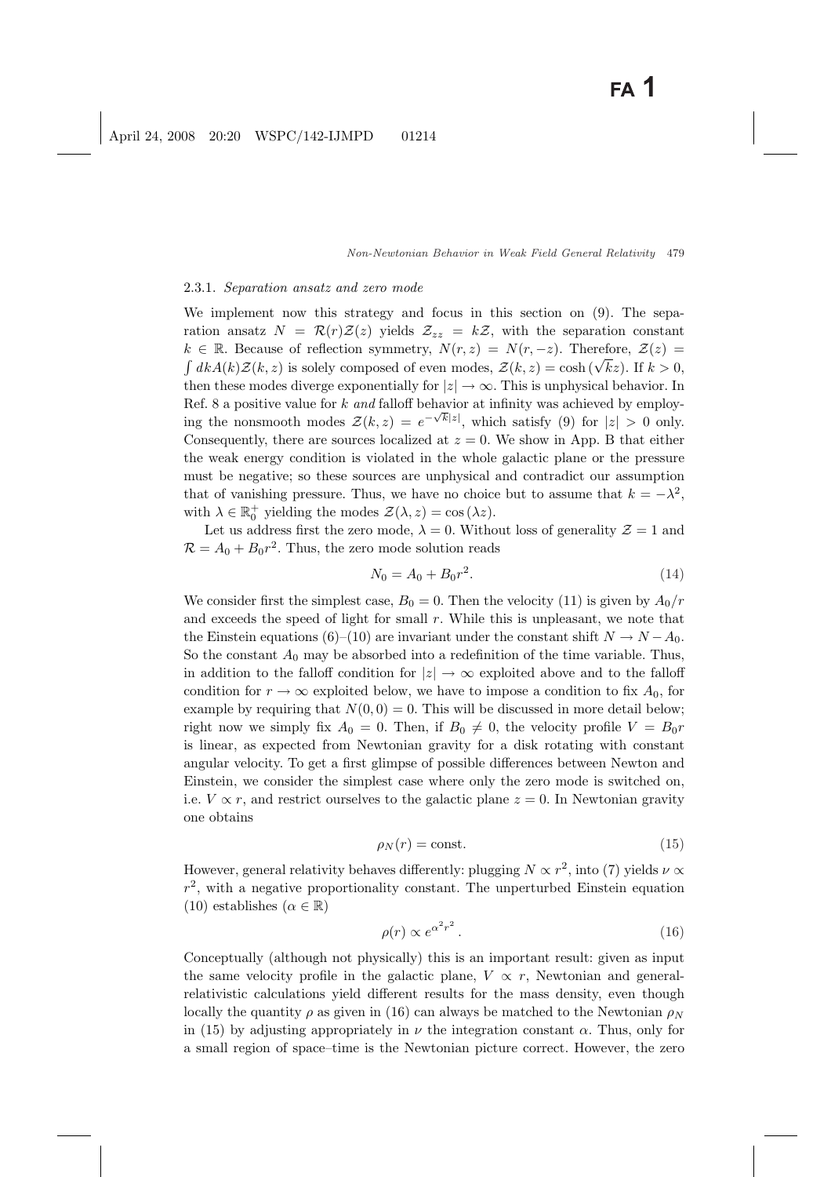#### 2.3.1. Separation ansatz and zero mode

We implement now this strategy and focus in this section on (9). The separation ansatz  $N = \mathcal{R}(r)\mathcal{Z}(z)$  yields  $\mathcal{Z}_{zz} = k\mathcal{Z}$ , with the separation constant  $k \in \mathbb{R}$ . Because of reflection symmetry,  $N(r, z) = N(r, -z)$ . Therefore,  $\mathcal{Z}(z) =$  $d_kA(k)\mathcal{Z}(k, z)$  is solely composed of even modes,  $\mathcal{Z}(k, z) = \cosh(\sqrt{k}z)$ . If  $k > 0$ , then these modes diverge exponentially for  $|z| \to \infty$ . This is unphysical behavior. In Ref. 8 a positive value for k and falloff behavior at infinity was achieved by employing the nonsmooth modes  $\mathcal{Z}(k, z) = e^{-\sqrt{k}|z|}$ , which satisfy (9) for  $|z| > 0$  only. Consequently, there are sources localized at  $z = 0$ . We show in App. B that either the weak energy condition is violated in the whole galactic plane or the pressure must be negative; so these sources are unphysical and contradict our assumption that of vanishing pressure. Thus, we have no choice but to assume that  $k = -\lambda^2$ , with  $\lambda \in \mathbb{R}_0^+$  yielding the modes  $\mathcal{Z}(\lambda, z) = \cos(\lambda z)$ .

Let us address first the zero mode,  $\lambda = 0$ . Without loss of generality  $\mathcal{Z} = 1$  and  $\mathcal{R} = A_0 + B_0 r^2$ . Thus, the zero mode solution reads

$$
N_0 = A_0 + B_0 r^2. \tag{14}
$$

We consider first the simplest case,  $B_0 = 0$ . Then the velocity (11) is given by  $A_0/r$ and exceeds the speed of light for small  $r$ . While this is unpleasant, we note that the Einstein equations (6)–(10) are invariant under the constant shift  $N \to N - A_0$ . So the constant  $A_0$  may be absorbed into a redefinition of the time variable. Thus, in addition to the falloff condition for  $|z| \to \infty$  exploited above and to the falloff condition for  $r \to \infty$  exploited below, we have to impose a condition to fix  $A_0$ , for example by requiring that  $N(0, 0) = 0$ . This will be discussed in more detail below; right now we simply fix  $A_0 = 0$ . Then, if  $B_0 \neq 0$ , the velocity profile  $V = B_0r$ is linear, as expected from Newtonian gravity for a disk rotating with constant angular velocity. To get a first glimpse of possible differences between Newton and Einstein, we consider the simplest case where only the zero mode is switched on, i.e.  $V \propto r$ , and restrict ourselves to the galactic plane  $z = 0$ . In Newtonian gravity one obtains

$$
\rho_N(r) = \text{const.}\tag{15}
$$

However, general relativity behaves differently: plugging  $N \propto r^2$ , into (7) yields  $\nu \propto$  $r^2$ , with a negative proportionality constant. The unperturbed Einstein equation (10) establishes  $(\alpha \in \mathbb{R})$ 

$$
\rho(r) \propto e^{\alpha^2 r^2} \,. \tag{16}
$$

Conceptually (although not physically) this is an important result: given as input the same velocity profile in the galactic plane,  $V \propto r$ , Newtonian and generalrelativistic calculations yield different results for the mass density, even though locally the quantity  $\rho$  as given in (16) can always be matched to the Newtonian  $\rho_N$ in (15) by adjusting appropriately in  $\nu$  the integration constant  $\alpha$ . Thus, only for a small region of space–time is the Newtonian picture correct. However, the zero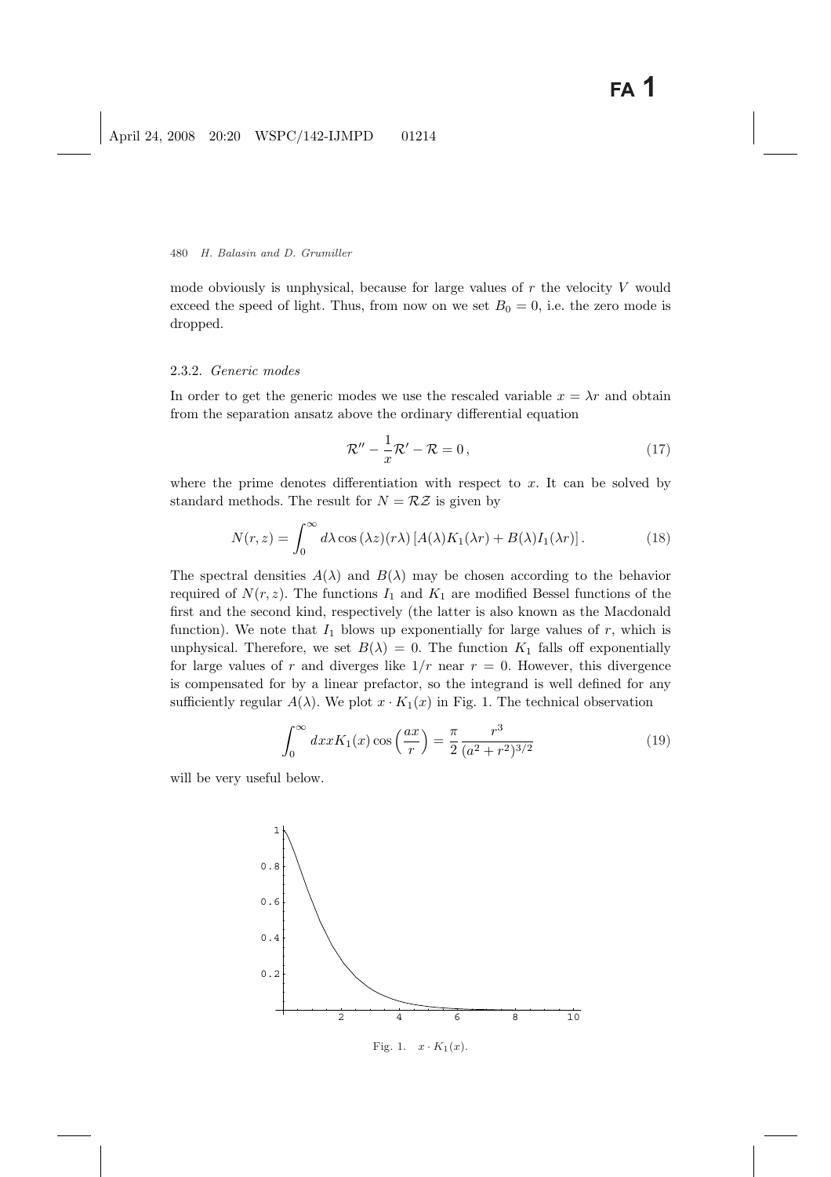mode obviously is unphysical, because for large values of  $r$  the velocity  $V$  would exceed the speed of light. Thus, from now on we set  $B_0 = 0$ , i.e. the zero mode is dropped.

#### 2.3.2. Generic modes

In order to get the generic modes we use the rescaled variable  $x = \lambda r$  and obtain from the separation ansatz above the ordinary differential equation

$$
\mathcal{R}'' - \frac{1}{x}\mathcal{R}' - \mathcal{R} = 0, \qquad (17)
$$

where the prime denotes differentiation with respect to  $x$ . It can be solved by standard methods. The result for  $N = \mathcal{R}Z$  is given by

$$
N(r,z) = \int_0^\infty d\lambda \cos(\lambda z)(r\lambda) \left[ A(\lambda)K_1(\lambda r) + B(\lambda)I_1(\lambda r) \right].
$$
 (18)

The spectral densities  $A(\lambda)$  and  $B(\lambda)$  may be chosen according to the behavior required of  $N(r, z)$ . The functions  $I_1$  and  $K_1$  are modified Bessel functions of the first and the second kind, respectively (the latter is also known as the Macdonald function). We note that  $I_1$  blows up exponentially for large values of r, which is unphysical. Therefore, we set  $B(\lambda) = 0$ . The function  $K_1$  falls off exponentially for large values of r and diverges like  $1/r$  near  $r = 0$ . However, this divergence is compensated for by a linear prefactor, so the integrand is well defined for any sufficiently regular  $A(\lambda)$ . We plot  $x \cdot K_1(x)$  in Fig. 1. The technical observation

$$
\int_0^\infty dx x K_1(x) \cos\left(\frac{ax}{r}\right) = \frac{\pi}{2} \frac{r^3}{(a^2 + r^2)^{3/2}}\tag{19}
$$

will be very useful below.

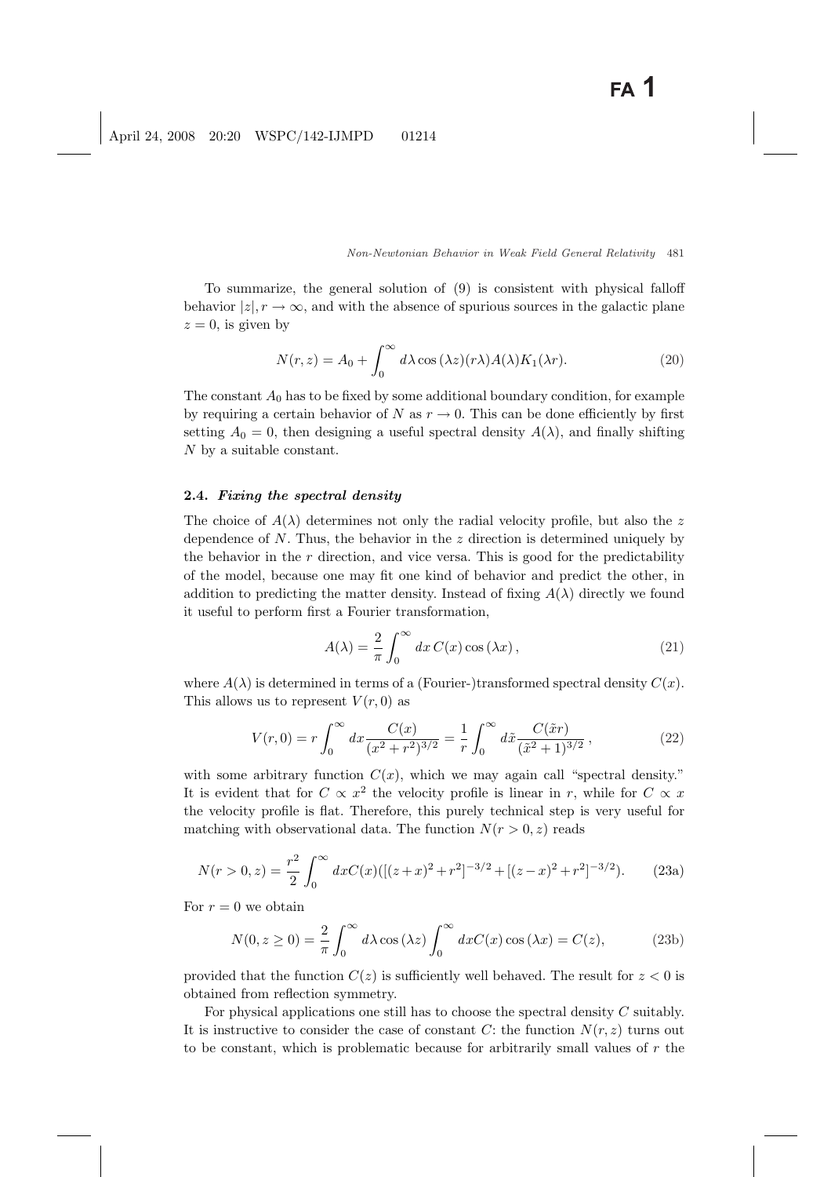To summarize, the general solution of (9) is consistent with physical falloff behavior  $|z|, r \to \infty$ , and with the absence of spurious sources in the galactic plane  $z = 0$ , is given by

$$
N(r,z) = A_0 + \int_0^\infty d\lambda \cos(\lambda z)(r\lambda) A(\lambda) K_1(\lambda r). \tag{20}
$$

The constant  $A_0$  has to be fixed by some additional boundary condition, for example by requiring a certain behavior of N as  $r \to 0$ . This can be done efficiently by first setting  $A_0 = 0$ , then designing a useful spectral density  $A(\lambda)$ , and finally shifting N by a suitable constant.

#### 2.4. Fixing the spectral density

The choice of  $A(\lambda)$  determines not only the radial velocity profile, but also the z dependence of  $N$ . Thus, the behavior in the  $z$  direction is determined uniquely by the behavior in the  $r$  direction, and vice versa. This is good for the predictability of the model, because one may fit one kind of behavior and predict the other, in addition to predicting the matter density. Instead of fixing  $A(\lambda)$  directly we found it useful to perform first a Fourier transformation,

$$
A(\lambda) = \frac{2}{\pi} \int_0^\infty dx \, C(x) \cos(\lambda x) \,, \tag{21}
$$

where  $A(\lambda)$  is determined in terms of a (Fourier-)transformed spectral density  $C(x)$ . This allows us to represent  $V(r, 0)$  as

$$
V(r,0) = r \int_0^\infty dx \frac{C(x)}{(x^2 + r^2)^{3/2}} = \frac{1}{r} \int_0^\infty d\tilde{x} \frac{C(\tilde{x}r)}{(\tilde{x}^2 + 1)^{3/2}},\tag{22}
$$

with some arbitrary function  $C(x)$ , which we may again call "spectral density." It is evident that for  $C \propto x^2$  the velocity profile is linear in r, while for  $C \propto x$ the velocity profile is flat. Therefore, this purely technical step is very useful for matching with observational data. The function  $N(r > 0, z)$  reads

$$
N(r > 0, z) = \frac{r^2}{2} \int_0^\infty dx C(x) \left( [(z+x)^2 + r^2]^{-3/2} + [(z-x)^2 + r^2]^{-3/2} \right). \tag{23a}
$$

For  $r = 0$  we obtain

$$
N(0, z \ge 0) = \frac{2}{\pi} \int_0^\infty d\lambda \cos(\lambda z) \int_0^\infty dx C(x) \cos(\lambda x) = C(z), \tag{23b}
$$

provided that the function  $C(z)$  is sufficiently well behaved. The result for  $z < 0$  is obtained from reflection symmetry.

For physical applications one still has to choose the spectral density C suitably. It is instructive to consider the case of constant C: the function  $N(r, z)$  turns out to be constant, which is problematic because for arbitrarily small values of r the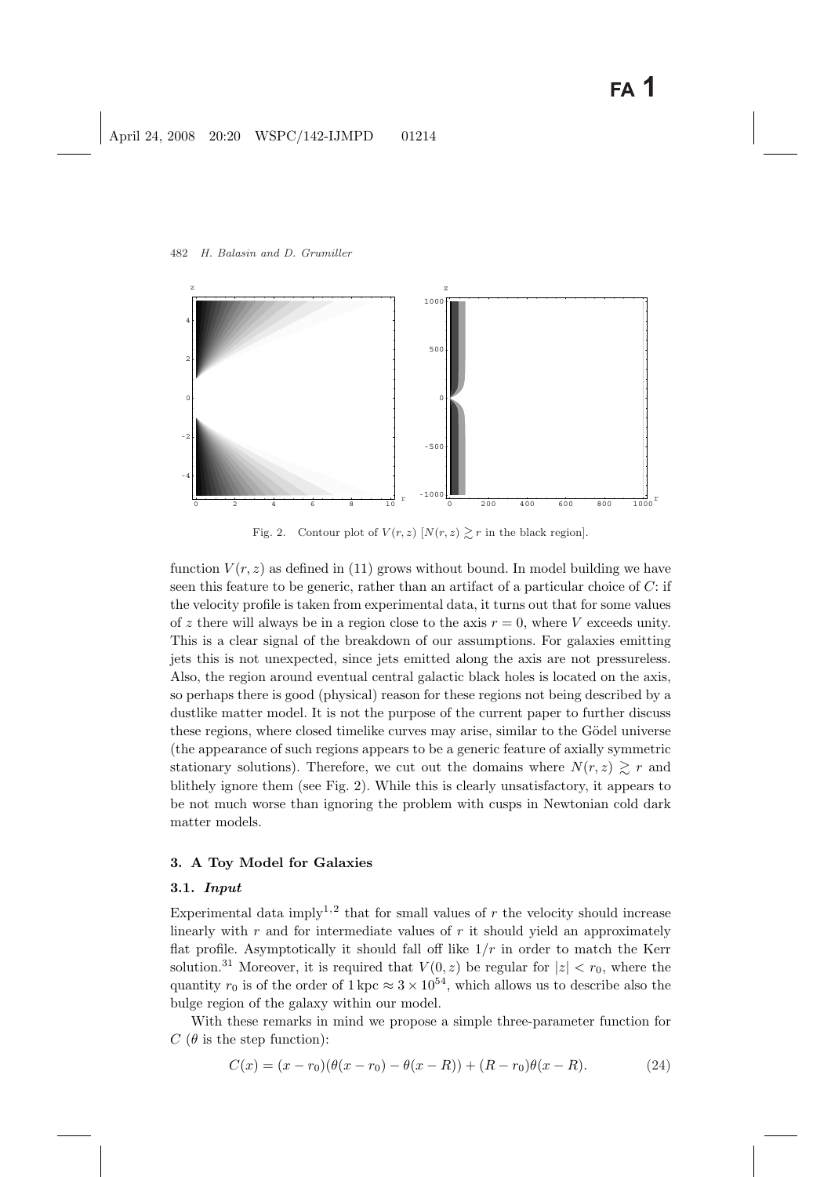

Fig. 2. Contour plot of  $V(r, z)$   $[N(r, z) \geq r]$  in the black region.

function  $V(r, z)$  as defined in (11) grows without bound. In model building we have seen this feature to be generic, rather than an artifact of a particular choice of C: if the velocity profile is taken from experimental data, it turns out that for some values of z there will always be in a region close to the axis  $r = 0$ , where V exceeds unity. This is a clear signal of the breakdown of our assumptions. For galaxies emitting jets this is not unexpected, since jets emitted along the axis are not pressureless. Also, the region around eventual central galactic black holes is located on the axis, so perhaps there is good (physical) reason for these regions not being described by a dustlike matter model. It is not the purpose of the current paper to further discuss these regions, where closed timelike curves may arise, similar to the Gödel universe (the appearance of such regions appears to be a generic feature of axially symmetric stationary solutions). Therefore, we cut out the domains where  $N(r, z) \gtrsim r$  and blithely ignore them (see Fig. 2). While this is clearly unsatisfactory, it appears to be not much worse than ignoring the problem with cusps in Newtonian cold dark matter models.

### 3. A Toy Model for Galaxies

### 3.1. Input

Experimental data imply<sup>1,2</sup> that for small values of  $r$  the velocity should increase linearly with  $r$  and for intermediate values of  $r$  it should yield an approximately flat profile. Asymptotically it should fall off like  $1/r$  in order to match the Kerr solution.<sup>31</sup> Moreover, it is required that  $V(0, z)$  be regular for  $|z| < r_0$ , where the quantity  $r_0$  is of the order of  $1 \text{ kpc} \approx 3 \times 10^{54}$ , which allows us to describe also the bulge region of the galaxy within our model.

With these remarks in mind we propose a simple three-parameter function for  $C$  ( $\theta$  is the step function):

$$
C(x) = (x - r_0)(\theta(x - r_0) - \theta(x - R)) + (R - r_0)\theta(x - R).
$$
 (24)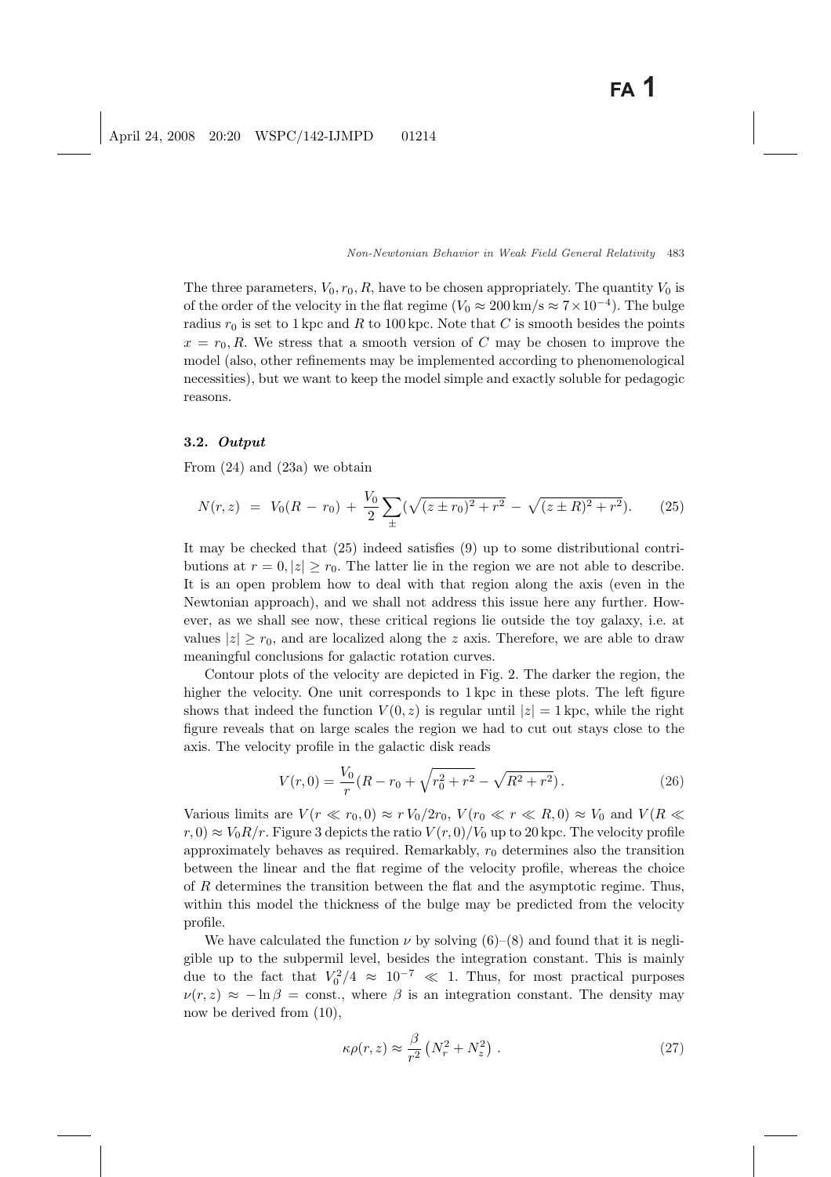The three parameters,  $V_0, r_0, R$ , have to be chosen appropriately. The quantity  $V_0$  is of the order of the velocity in the flat regime  $(V_0 \approx 200 \,\mathrm{km/s} \approx 7 \times 10^{-4})$ . The bulge radius  $r_0$  is set to 1 kpc and R to 100 kpc. Note that C is smooth besides the points  $x = r_0, R$ . We stress that a smooth version of C may be chosen to improve the model (also, other refinements may be implemented according to phenomenological necessities), but we want to keep the model simple and exactly soluble for pedagogic reasons.

#### 3.2. Output

From (24) and (23a) we obtain

$$
N(r,z) = V_0(R - r_0) + \frac{V_0}{2} \sum_{\pm} (\sqrt{(z \pm r_0)^2 + r^2} - \sqrt{(z \pm R)^2 + r^2}).
$$
 (25)

It may be checked that (25) indeed satisfies (9) up to some distributional contributions at  $r = 0, |z| \ge r_0$ . The latter lie in the region we are not able to describe. It is an open problem how to deal with that region along the axis (even in the Newtonian approach), and we shall not address this issue here any further. However, as we shall see now, these critical regions lie outside the toy galaxy, i.e. at values  $|z| \ge r_0$ , and are localized along the z axis. Therefore, we are able to draw meaningful conclusions for galactic rotation curves.

Contour plots of the velocity are depicted in Fig. 2. The darker the region, the higher the velocity. One unit corresponds to 1 kpc in these plots. The left figure shows that indeed the function  $V(0, z)$  is regular until  $|z| = 1$  kpc, while the right figure reveals that on large scales the region we had to cut out stays close to the axis. The velocity profile in the galactic disk reads

$$
V(r,0) = \frac{V_0}{r}(R - r_0 + \sqrt{r_0^2 + r^2} - \sqrt{R^2 + r^2}).
$$
\n(26)

Various limits are  $V(r \ll r_0, 0) \approx r V_0/2r_0$ ,  $V(r_0 \ll r \ll R, 0) \approx V_0$  and  $V(R \ll r_0, 0)$  $r(0) \approx V_0 R/r$ . Figure 3 depicts the ratio  $V(r,0)/V_0$  up to 20 kpc. The velocity profile approximately behaves as required. Remarkably,  $r_0$  determines also the transition between the linear and the flat regime of the velocity profile, whereas the choice of R determines the transition between the flat and the asymptotic regime. Thus, within this model the thickness of the bulge may be predicted from the velocity profile.

We have calculated the function  $\nu$  by solving (6)–(8) and found that it is negligible up to the subpermil level, besides the integration constant. This is mainly due to the fact that  $V_0^2/4 \approx 10^{-7} \ll 1$ . Thus, for most practical purposes  $\nu(r, z) \approx -\ln \beta = \text{const.}$ , where  $\beta$  is an integration constant. The density may now be derived from (10),

$$
\kappa \rho(r,z) \approx \frac{\beta}{r^2} \left( N_r^2 + N_z^2 \right) \,. \tag{27}
$$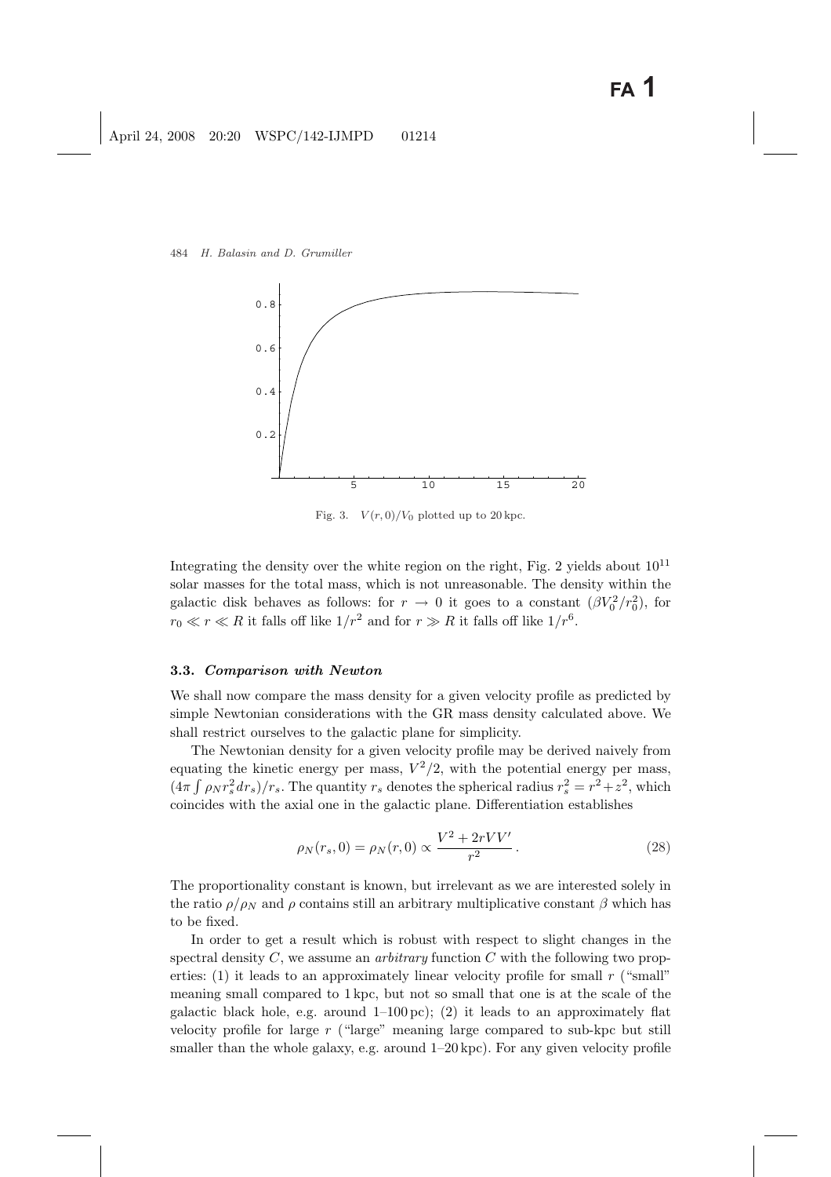

Fig. 3.  $V(r, 0)/V_0$  plotted up to 20 kpc.

Integrating the density over the white region on the right, Fig. 2 yields about  $10^{11}$ solar masses for the total mass, which is not unreasonable. The density within the galactic disk behaves as follows: for  $r \to 0$  it goes to a constant  $(\beta V_0^2 / r_0^2)$ , for  $r_0 \ll r \ll R$  it falls off like  $1/r^2$  and for  $r \gg R$  it falls off like  $1/r^6$ .

#### 3.3. Comparison with Newton

We shall now compare the mass density for a given velocity profile as predicted by simple Newtonian considerations with the GR mass density calculated above. We shall restrict ourselves to the galactic plane for simplicity.

The Newtonian density for a given velocity profile may be derived naively from equating the kinetic energy per mass,  $V^2/2$ , with the potential energy per mass,  $(4\pi \int \rho_N r_s^2 dr_s)/r_s$ . The quantity  $r_s$  denotes the spherical radius  $r_s^2 = r^2 + z^2$ , which coincides with the axial one in the galactic plane. Differentiation establishes

$$
\rho_N(r_s, 0) = \rho_N(r, 0) \propto \frac{V^2 + 2rVV'}{r^2}.
$$
\n(28)

The proportionality constant is known, but irrelevant as we are interested solely in the ratio  $\rho/\rho_N$  and  $\rho$  contains still an arbitrary multiplicative constant  $\beta$  which has to be fixed.

In order to get a result which is robust with respect to slight changes in the spectral density C, we assume an *arbitrary* function C with the following two properties:  $(1)$  it leads to an approximately linear velocity profile for small r ("small" meaning small compared to 1 kpc, but not so small that one is at the scale of the galactic black hole, e.g. around 1–100 pc); (2) it leads to an approximately flat velocity profile for large  $r$  ("large" meaning large compared to sub-kpc but still smaller than the whole galaxy, e.g. around  $1-20$  kpc). For any given velocity profile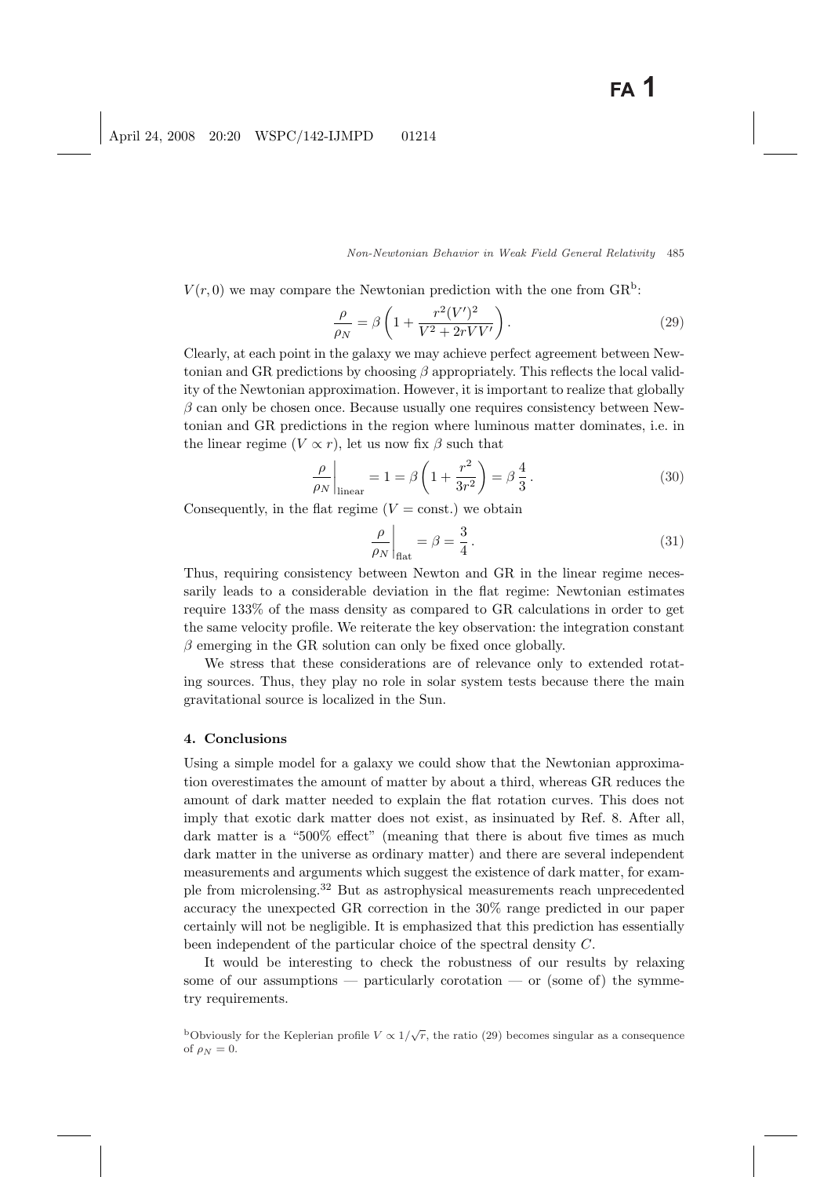$V(r,0)$  we may compare the Newtonian prediction with the one from  $\text{GR}^{\text{b}}$ :

$$
\frac{\rho}{\rho_N} = \beta \left( 1 + \frac{r^2 (V')^2}{V^2 + 2r V V'} \right). \tag{29}
$$

Clearly, at each point in the galaxy we may achieve perfect agreement between Newtonian and GR predictions by choosing  $\beta$  appropriately. This reflects the local validity of the Newtonian approximation. However, it is important to realize that globally  $\beta$  can only be chosen once. Because usually one requires consistency between Newtonian and GR predictions in the region where luminous matter dominates, i.e. in the linear regime  $(V \propto r)$ , let us now fix  $\beta$  such that

$$
\frac{\rho}{\rho_N}\bigg|_{\text{linear}} = 1 = \beta \left(1 + \frac{r^2}{3r^2}\right) = \beta \frac{4}{3}.
$$
\n(30)

Consequently, in the flat regime  $(V = \text{const.})$  we obtain

$$
\left.\frac{\rho}{\rho_N}\right|_{\text{flat}} = \beta = \frac{3}{4} \,. \tag{31}
$$

Thus, requiring consistency between Newton and GR in the linear regime necessarily leads to a considerable deviation in the flat regime: Newtonian estimates require 133% of the mass density as compared to GR calculations in order to get the same velocity profile. We reiterate the key observation: the integration constant  $\beta$  emerging in the GR solution can only be fixed once globally.

We stress that these considerations are of relevance only to extended rotating sources. Thus, they play no role in solar system tests because there the main gravitational source is localized in the Sun.

### 4. Conclusions

Using a simple model for a galaxy we could show that the Newtonian approximation overestimates the amount of matter by about a third, whereas GR reduces the amount of dark matter needed to explain the flat rotation curves. This does not imply that exotic dark matter does not exist, as insinuated by Ref. 8. After all, dark matter is a "500% effect" (meaning that there is about five times as much dark matter in the universe as ordinary matter) and there are several independent measurements and arguments which suggest the existence of dark matter, for example from microlensing.<sup>32</sup> But as astrophysical measurements reach unprecedented accuracy the unexpected GR correction in the 30% range predicted in our paper certainly will not be negligible. It is emphasized that this prediction has essentially been independent of the particular choice of the spectral density C.

It would be interesting to check the robustness of our results by relaxing some of our assumptions — particularly corotation — or (some of) the symmetry requirements.

bObviously for the Keplerian profile  $V \propto 1/\sqrt{r}$ , the ratio (29) becomes singular as a consequence of  $\rho_N = 0$ .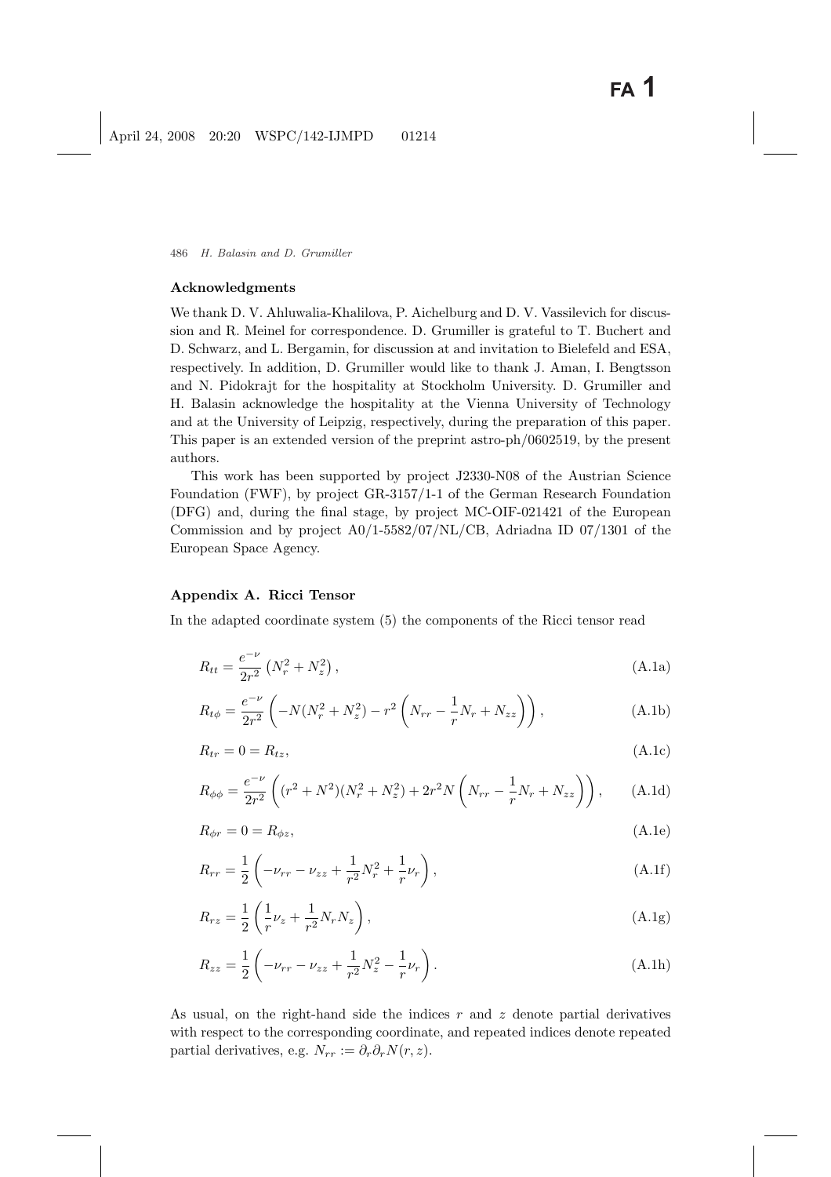#### Acknowledgments

We thank D. V. Ahluwalia-Khalilova, P. Aichelburg and D. V. Vassilevich for discussion and R. Meinel for correspondence. D. Grumiller is grateful to T. Buchert and D. Schwarz, and L. Bergamin, for discussion at and invitation to Bielefeld and ESA, respectively. In addition, D. Grumiller would like to thank J. Aman, I. Bengtsson and N. Pidokrajt for the hospitality at Stockholm University. D. Grumiller and H. Balasin acknowledge the hospitality at the Vienna University of Technology and at the University of Leipzig, respectively, during the preparation of this paper. This paper is an extended version of the preprint astro-ph/0602519, by the present authors.

This work has been supported by project J2330-N08 of the Austrian Science Foundation (FWF), by project GR-3157/1-1 of the German Research Foundation (DFG) and, during the final stage, by project MC-OIF-021421 of the European Commission and by project A0/1-5582/07/NL/CB, Adriadna ID 07/1301 of the European Space Agency.

# Appendix A. Ricci Tensor

In the adapted coordinate system (5) the components of the Ricci tensor read

$$
R_{tt} = \frac{e^{-\nu}}{2r^2} \left( N_r^2 + N_z^2 \right), \tag{A.1a}
$$

$$
R_{t\phi} = \frac{e^{-\nu}}{2r^2} \left( -N(N_r^2 + N_z^2) - r^2 \left( N_{rr} - \frac{1}{r} N_r + N_{zz} \right) \right), \tag{A.1b}
$$

$$
R_{tr} = 0 = R_{tz},\tag{A.1c}
$$

$$
R_{\phi\phi} = \frac{e^{-\nu}}{2r^2} \left( (r^2 + N^2)(N_r^2 + N_z^2) + 2r^2 N \left( N_{rr} - \frac{1}{r} N_r + N_{zz} \right) \right), \tag{A.1d}
$$

$$
R_{\phi r} = 0 = R_{\phi z},\tag{A.1e}
$$

$$
R_{rr} = \frac{1}{2} \left( -\nu_{rr} - \nu_{zz} + \frac{1}{r^2} N_r^2 + \frac{1}{r} \nu_r \right),
$$
 (A.1f)

$$
R_{rz} = \frac{1}{2} \left( \frac{1}{r} \nu_z + \frac{1}{r^2} N_r N_z \right),
$$
 (A.1g)

$$
R_{zz} = \frac{1}{2} \left( -\nu_{rr} - \nu_{zz} + \frac{1}{r^2} N_z^2 - \frac{1}{r} \nu_r \right).
$$
 (A.1h)

As usual, on the right-hand side the indices  $r$  and  $z$  denote partial derivatives with respect to the corresponding coordinate, and repeated indices denote repeated partial derivatives, e.g.  $N_{rr} := \partial_r \partial_r N(r, z)$ .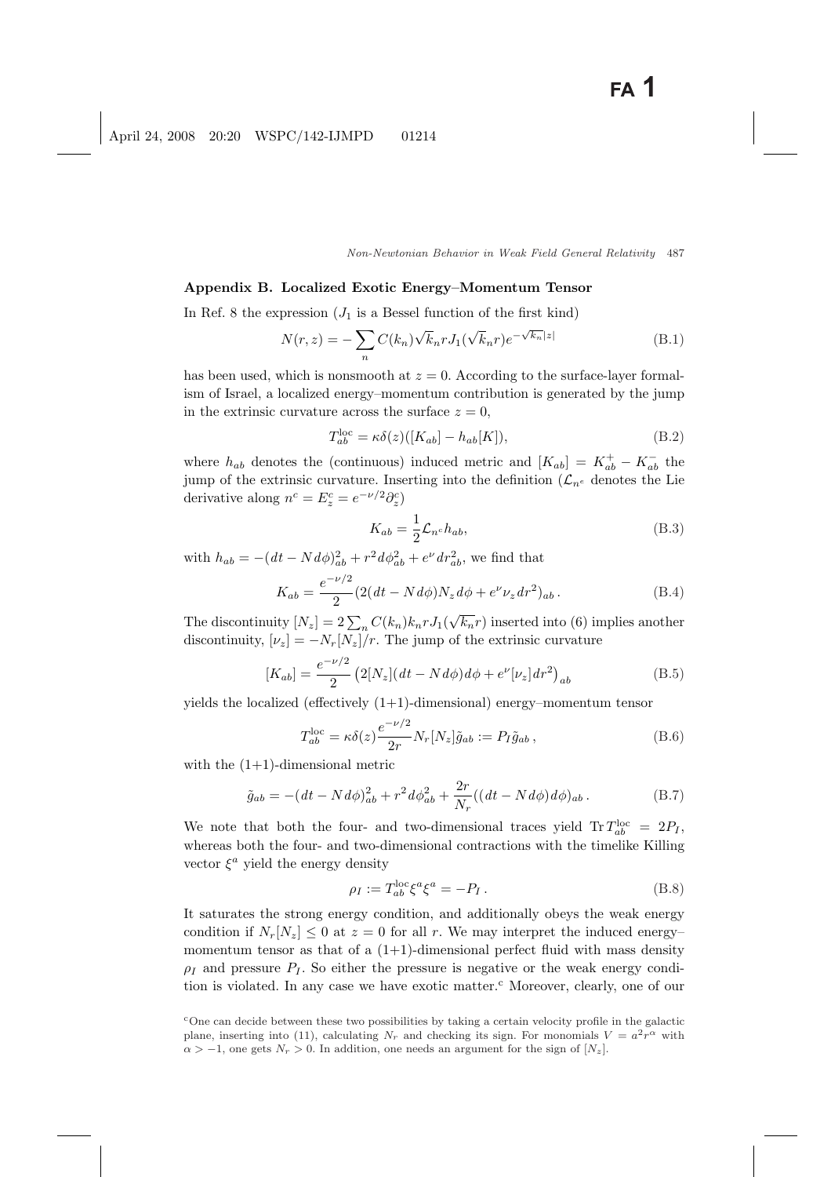### Appendix B. Localized Exotic Energy–Momentum Tensor

In Ref. 8 the expression  $(J_1$  is a Bessel function of the first kind)

$$
N(r,z) = -\sum_{n} C(k_n) \sqrt{k_n} r J_1(\sqrt{k_n} r) e^{-\sqrt{k_n}|z|}
$$
 (B.1)

has been used, which is nonsmooth at  $z = 0$ . According to the surface-layer formalism of Israel, a localized energy–momentum contribution is generated by the jump in the extrinsic curvature across the surface  $z = 0$ ,

$$
T_{ab}^{\text{loc}} = \kappa \delta(z) ([K_{ab}] - h_{ab}[K]), \tag{B.2}
$$

where  $h_{ab}$  denotes the (continuous) induced metric and  $[K_{ab}] = K_{ab}^+ - K_{ab}^-$  the jump of the extrinsic curvature. Inserting into the definition  $(\mathcal{L}_{n^e})$  denotes the Lie derivative along  $n^c = E_z^c = e^{-\nu/2} \partial_z^c$ 

$$
K_{ab} = \frac{1}{2} \mathcal{L}_{n^c} h_{ab},\tag{B.3}
$$

with  $h_{ab} = -(dt - N d\phi)_{ab}^2 + r^2 d\phi_{ab}^2 + e^{\nu} dr_{ab}^2$ , we find that

$$
K_{ab} = \frac{e^{-\nu/2}}{2} (2(dt - N d\phi) N_z d\phi + e^{\nu} \nu_z dr^2)_{ab}.
$$
 (B.4)

The discontinuity  $[N_z] = 2\sum_n C(k_n)k_n r J_1(\sqrt{k_n}r)$  inserted into (6) implies another discontinuity,  $[\nu_z] = -N_r[N_z]/r$ . The jump of the extrinsic curvature

$$
[K_{ab}] = \frac{e^{-\nu/2}}{2} \left( 2[N_z](dt - Nd\phi) d\phi + e^{\nu}[\nu_z] dr^2 \right)_{ab}
$$
 (B.5)

yields the localized (effectively  $(1+1)$ -dimensional) energy–momentum tensor

$$
T_{ab}^{\text{loc}} = \kappa \delta(z) \frac{e^{-\nu/2}}{2r} N_r [N_z] \tilde{g}_{ab} := P_I \tilde{g}_{ab} , \qquad (B.6)
$$

with the  $(1+1)$ -dimensional metric

$$
\tilde{g}_{ab} = -(dt - N d\phi)_{ab}^2 + r^2 d\phi_{ab}^2 + \frac{2r}{N_r}((dt - N d\phi) d\phi)_{ab}.
$$
 (B.7)

We note that both the four- and two-dimensional traces yield  $\text{Tr } T_{ab}^{\text{loc}} = 2P_I$ , whereas both the four- and two-dimensional contractions with the timelike Killing vector  $\xi^a$  yield the energy density

$$
\rho_I := T_{ab}^{\text{loc}} \xi^a \xi^a = -P_I. \tag{B.8}
$$

It saturates the strong energy condition, and additionally obeys the weak energy condition if  $N_r[N_z] \leq 0$  at  $z = 0$  for all r. We may interpret the induced energymomentum tensor as that of a  $(1+1)$ -dimensional perfect fluid with mass density  $\rho_I$  and pressure  $P_I$ . So either the pressure is negative or the weak energy condition is violated. In any case we have exotic matter.<sup>c</sup> Moreover, clearly, one of our

<sup>c</sup>One can decide between these two possibilities by taking a certain velocity profile in the galactic plane, inserting into (11), calculating  $N_r$  and checking its sign. For monomials  $V = a^2 r^{\alpha}$  with  $\alpha > -1$ , one gets  $N_r > 0$ . In addition, one needs an argument for the sign of  $[N_z]$ .